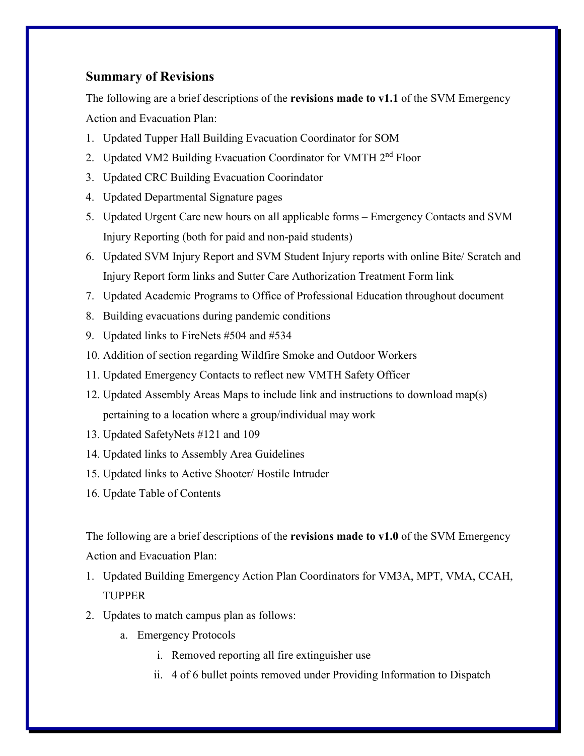## **Summary of Revisions**

The following are a brief descriptions of the **revisions made to v1.1** of the SVM Emergency Action and Evacuation Plan:

- 1. Updated Tupper Hall Building Evacuation Coordinator for SOM
- 2. Updated VM2 Building Evacuation Coordinator for VMTH 2<sup>nd</sup> Floor
- 3. Updated CRC Building Evacuation Coorindator
- 4. Updated Departmental Signature pages
- 5. Updated Urgent Care new hours on all applicable forms Emergency Contacts and SVM Injury Reporting (both for paid and non-paid students)
- 6. Updated SVM Injury Report and SVM Student Injury reports with online Bite/ Scratch and Injury Report form links and Sutter Care Authorization Treatment Form link
- 7. Updated Academic Programs to Office of Professional Education throughout document
- 8. Building evacuations during pandemic conditions
- 9. Updated links to FireNets #504 and #534
- 10. Addition of section regarding Wildfire Smoke and Outdoor Workers
- 11. Updated Emergency Contacts to reflect new VMTH Safety Officer
- 12. Updated Assembly Areas Maps to include link and instructions to download map(s) pertaining to a location where a group/individual may work
- 13. Updated SafetyNets #121 and 109
- 14. Updated links to Assembly Area Guidelines
- 15. Updated links to Active Shooter/ Hostile Intruder
- 16. Update Table of Contents

The following are a brief descriptions of the **revisions made to v1.0** of the SVM Emergency Action and Evacuation Plan:

- 1. Updated Building Emergency Action Plan Coordinators for VM3A, MPT, VMA, CCAH, TUPPER
- 2. Updates to match campus plan as follows:
	- a. Emergency Protocols
		- i. Removed reporting all fire extinguisher use
		- ii. 4 of 6 bullet points removed under Providing Information to Dispatch